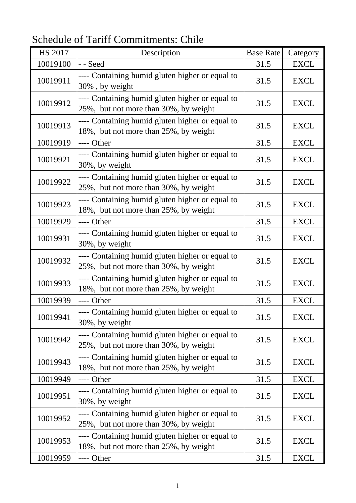Schedule of Tariff Commitments: Chile

| <b>HS 2017</b> | Description                                                                              | <b>Base Rate</b> | Category    |
|----------------|------------------------------------------------------------------------------------------|------------------|-------------|
| 10019100       | - - Seed                                                                                 | 31.5             | <b>EXCL</b> |
| 10019911       | ---- Containing humid gluten higher or equal to<br>30%, by weight                        | 31.5             | <b>EXCL</b> |
| 10019912       | ---- Containing humid gluten higher or equal to<br>25%, but not more than 30%, by weight | 31.5             | <b>EXCL</b> |
| 10019913       | ---- Containing humid gluten higher or equal to<br>18%, but not more than 25%, by weight | 31.5             | <b>EXCL</b> |
| 10019919       | ---- Other                                                                               | 31.5             | <b>EXCL</b> |
| 10019921       | ---- Containing humid gluten higher or equal to<br>30%, by weight                        | 31.5             | <b>EXCL</b> |
| 10019922       | ---- Containing humid gluten higher or equal to<br>25%, but not more than 30%, by weight | 31.5             | <b>EXCL</b> |
| 10019923       | ---- Containing humid gluten higher or equal to<br>18%, but not more than 25%, by weight | 31.5             | <b>EXCL</b> |
| 10019929       | ---- Other                                                                               | 31.5             | <b>EXCL</b> |
| 10019931       | ---- Containing humid gluten higher or equal to<br>30%, by weight                        | 31.5             | <b>EXCL</b> |
| 10019932       | ---- Containing humid gluten higher or equal to<br>25%, but not more than 30%, by weight | 31.5             | <b>EXCL</b> |
| 10019933       | ---- Containing humid gluten higher or equal to<br>18%, but not more than 25%, by weight | 31.5             | <b>EXCL</b> |
| 10019939       | ---- Other                                                                               | 31.5             | <b>EXCL</b> |
| 10019941       | ---- Containing humid gluten higher or equal to<br>30%, by weight                        | 31.5             | <b>EXCL</b> |
| 10019942       | ---- Containing humid gluten higher or equal to<br>25%, but not more than 30%, by weight | 31.5             | <b>EXCL</b> |
| 10019943       | ---- Containing humid gluten higher or equal to<br>18%, but not more than 25%, by weight | 31.5             | <b>EXCL</b> |
| 10019949       | ---- Other                                                                               | 31.5             | <b>EXCL</b> |
| 10019951       | ---- Containing humid gluten higher or equal to<br>30%, by weight                        | 31.5             | <b>EXCL</b> |
| 10019952       | ---- Containing humid gluten higher or equal to<br>25%, but not more than 30%, by weight | 31.5             | <b>EXCL</b> |
| 10019953       | ---- Containing humid gluten higher or equal to<br>18%, but not more than 25%, by weight | 31.5             | <b>EXCL</b> |
| 10019959       | ---- Other                                                                               | 31.5             | <b>EXCL</b> |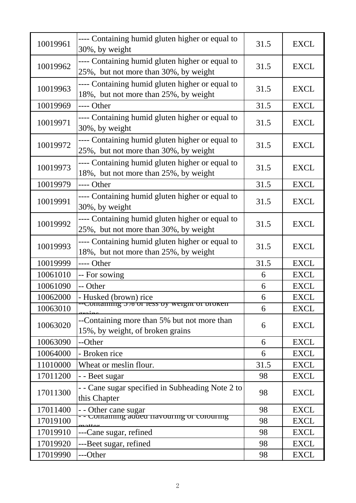| 10019961 | ---- Containing humid gluten higher or equal to<br>30%, by weight                        | 31.5 | <b>EXCL</b> |
|----------|------------------------------------------------------------------------------------------|------|-------------|
| 10019962 | ---- Containing humid gluten higher or equal to<br>25%, but not more than 30%, by weight | 31.5 | <b>EXCL</b> |
| 10019963 | ---- Containing humid gluten higher or equal to<br>18%, but not more than 25%, by weight | 31.5 | <b>EXCL</b> |
| 10019969 | ---- Other                                                                               | 31.5 | <b>EXCL</b> |
| 10019971 | ---- Containing humid gluten higher or equal to<br>30%, by weight                        | 31.5 | <b>EXCL</b> |
| 10019972 | ---- Containing humid gluten higher or equal to<br>25%, but not more than 30%, by weight | 31.5 | <b>EXCL</b> |
| 10019973 | ---- Containing humid gluten higher or equal to<br>18%, but not more than 25%, by weight | 31.5 | <b>EXCL</b> |
| 10019979 | ---- Other                                                                               | 31.5 | <b>EXCL</b> |
| 10019991 | ---- Containing humid gluten higher or equal to<br>30%, by weight                        | 31.5 | <b>EXCL</b> |
| 10019992 | ---- Containing humid gluten higher or equal to<br>25%, but not more than 30%, by weight | 31.5 | <b>EXCL</b> |
| 10019993 | ---- Containing humid gluten higher or equal to<br>18%, but not more than 25%, by weight | 31.5 | <b>EXCL</b> |
| 10019999 | ---- Other                                                                               | 31.5 | <b>EXCL</b> |
| 10061010 | -- For sowing                                                                            | 6    | <b>EXCL</b> |
| 10061090 | -- Other                                                                                 | 6    | <b>EXCL</b> |
| 10062000 | - Husked (brown) rice<br>--Comanning 5% or ress by weight or broken                      | 6    | <b>EXCL</b> |
| 10063010 |                                                                                          | 6    | <b>EXCL</b> |
| 10063020 | --Containing more than 5% but not more than<br>15%, by weight, of broken grains          | 6    | <b>EXCL</b> |
| 10063090 | --Other                                                                                  | 6    | <b>EXCL</b> |
| 10064000 | - Broken rice                                                                            | 6    | <b>EXCL</b> |
| 11010000 | Wheat or meslin flour.                                                                   | 31.5 | <b>EXCL</b> |
| 17011200 | - - Beet sugar                                                                           | 98   | <b>EXCL</b> |
| 17011300 | Cane sugar specified in Subheading Note 2 to<br>this Chapter                             | 98   | <b>EXCL</b> |
| 17011400 | - - Other cane sugar                                                                     | 98   | <b>EXCL</b> |
| 17019100 | omannng added navouring or colouring                                                     | 98   | <b>EXCL</b> |
| 17019910 | --Cane sugar, refined                                                                    | 98   | <b>EXCL</b> |
| 17019920 | ---Beet sugar, refined                                                                   | 98   | <b>EXCL</b> |
| 17019990 | ---Other                                                                                 | 98   | <b>EXCL</b> |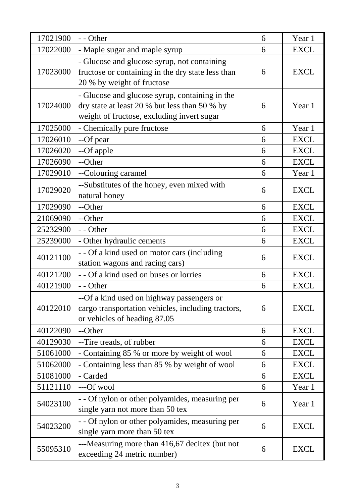| 17022000<br>17023000 | - Maple sugar and maple syrup<br>- Glucose and glucose syrup, not containing<br>fructose or containing in the dry state less than<br>20 % by weight of fructose<br>- Glucose and glucose syrup, containing in the<br>dry state at least 20 % but less than 50 % by | 6<br>6 | <b>EXCL</b><br><b>EXCL</b> |
|----------------------|--------------------------------------------------------------------------------------------------------------------------------------------------------------------------------------------------------------------------------------------------------------------|--------|----------------------------|
|                      |                                                                                                                                                                                                                                                                    |        |                            |
|                      |                                                                                                                                                                                                                                                                    |        |                            |
| 17024000             | weight of fructose, excluding invert sugar                                                                                                                                                                                                                         | 6      | Year 1                     |
| 17025000             | - Chemically pure fructose                                                                                                                                                                                                                                         | 6      | Year 1                     |
| 17026010             | --Of pear                                                                                                                                                                                                                                                          | 6      | <b>EXCL</b>                |
| 17026020             | --Of apple                                                                                                                                                                                                                                                         | 6      | <b>EXCL</b>                |
| 17026090             | --Other                                                                                                                                                                                                                                                            | 6      | <b>EXCL</b>                |
| 17029010             | --Colouring caramel                                                                                                                                                                                                                                                | 6      | Year 1                     |
| 17029020             | --Substitutes of the honey, even mixed with<br>natural honey                                                                                                                                                                                                       | 6      | <b>EXCL</b>                |
| 17029090             | --Other                                                                                                                                                                                                                                                            | 6      | <b>EXCL</b>                |
| 21069090             | --Other                                                                                                                                                                                                                                                            | 6      | <b>EXCL</b>                |
| 25232900             | - - Other                                                                                                                                                                                                                                                          | 6      | <b>EXCL</b>                |
| 25239000             | - Other hydraulic cements                                                                                                                                                                                                                                          | 6      | <b>EXCL</b>                |
| 40121100             | - - Of a kind used on motor cars (including<br>station wagons and racing cars)                                                                                                                                                                                     | 6      | <b>EXCL</b>                |
| 40121200             | - - Of a kind used on buses or lorries                                                                                                                                                                                                                             | 6      | <b>EXCL</b>                |
| 40121900             | - - Other                                                                                                                                                                                                                                                          | 6      | <b>EXCL</b>                |
| 40122010             | --Of a kind used on highway passengers or<br>cargo transportation vehicles, including tractors,<br>or vehicles of heading 87.05                                                                                                                                    | 6      | <b>EXCL</b>                |
| 40122090             | --Other                                                                                                                                                                                                                                                            | 6      | <b>EXCL</b>                |
| 40129030             | --Tire treads, of rubber                                                                                                                                                                                                                                           | 6      | <b>EXCL</b>                |
| 51061000             | - Containing 85 % or more by weight of wool                                                                                                                                                                                                                        | 6      | <b>EXCL</b>                |
| 51062000             | - Containing less than 85 % by weight of wool                                                                                                                                                                                                                      | 6      | <b>EXCL</b>                |
| 51081000             | - Carded                                                                                                                                                                                                                                                           | 6      | <b>EXCL</b>                |
| 51121110             | ---Of wool                                                                                                                                                                                                                                                         | 6      | Year 1                     |
| 54023100             | - - Of nylon or other polyamides, measuring per<br>single yarn not more than 50 tex                                                                                                                                                                                | 6      | Year 1                     |
| 54023200             | - - Of nylon or other polyamides, measuring per<br>single yarn more than 50 tex                                                                                                                                                                                    | 6      | <b>EXCL</b>                |
| 55095310             | ---Measuring more than 416,67 decitex (but not<br>exceeding 24 metric number)                                                                                                                                                                                      | 6      | <b>EXCL</b>                |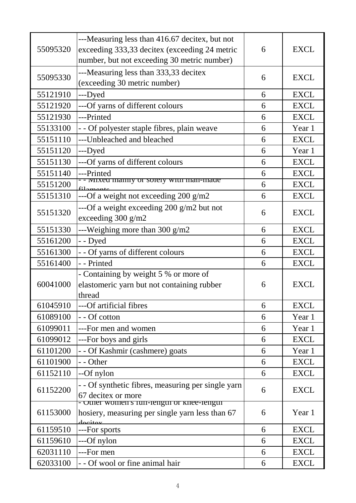| 55095320 | ---Measuring less than 416.67 decitex, but not<br>exceeding 333,33 decitex (exceeding 24 metric | 6 | <b>EXCL</b> |
|----------|-------------------------------------------------------------------------------------------------|---|-------------|
|          | number, but not exceeding 30 metric number)                                                     |   |             |
| 55095330 | ---Measuring less than 333,33 decitex                                                           | 6 | <b>EXCL</b> |
| 55121910 | (exceeding 30 metric number)<br>---Dyed                                                         | 6 | <b>EXCL</b> |
| 55121920 | ---Of yarns of different colours                                                                | 6 | <b>EXCL</b> |
| 55121930 | ---Printed                                                                                      | 6 | <b>EXCL</b> |
| 55133100 | - - Of polyester staple fibres, plain weave                                                     | 6 | Year 1      |
|          |                                                                                                 |   | <b>EXCL</b> |
| 55151110 | ---Unbleached and bleached                                                                      | 6 |             |
| 55151120 | ---Dyed                                                                                         | 6 | Year 1      |
| 55151130 | ---Of yarns of different colours                                                                | 6 | <b>EXCL</b> |
| 55151140 | ---Printed<br><b>IVITXED INAILITY OF SOIETY WITH INAIL-HIAGE</b>                                | 6 | <b>EXCL</b> |
| 55151200 |                                                                                                 | 6 | <b>EXCL</b> |
| 55151310 | ---Of a weight not exceeding 200 g/m2                                                           | 6 | <b>EXCL</b> |
| 55151320 | ---Of a weight exceeding 200 g/m2 but not<br>exceeding 300 g/m2                                 | 6 | <b>EXCL</b> |
| 55151330 | ---Weighing more than $300 \text{ g/m2}$                                                        | 6 | <b>EXCL</b> |
| 55161200 | - - Dyed                                                                                        | 6 | <b>EXCL</b> |
| 55161300 | - - Of yarns of different colours                                                               | 6 | <b>EXCL</b> |
| 55161400 | - - Printed                                                                                     | 6 | <b>EXCL</b> |
|          | - Containing by weight 5 % or more of                                                           |   |             |
| 60041000 | elastomeric yarn but not containing rubber                                                      | 6 | <b>EXCL</b> |
|          | thread                                                                                          |   |             |
| 61045910 | ---Of artificial fibres                                                                         | 6 | <b>EXCL</b> |
| 61089100 | - - Of cotton                                                                                   | 6 | Year 1      |
| 61099011 | ---For men and women                                                                            | 6 | Year 1      |
| 61099012 | ---For boys and girls                                                                           | 6 | <b>EXCL</b> |
| 61101200 | Of Kashmir (cashmere) goats                                                                     | 6 | Year 1      |
| 61101900 | - - Other                                                                                       | 6 | <b>EXCL</b> |
| 61152110 | --Of nylon                                                                                      | 6 | <b>EXCL</b> |
| 61152200 | - - Of synthetic fibres, measuring per single yarn                                              | 6 | <b>EXCL</b> |
|          | 67 decitex or more<br>Other women s run-length or knee-length                                   |   |             |
| 61153000 | hosiery, measuring per single yarn less than 67<br>docitor                                      | 6 | Year 1      |
| 61159510 | ---For sports                                                                                   | 6 | <b>EXCL</b> |
| 61159610 | ---Of nylon                                                                                     | 6 | <b>EXCL</b> |
| 62031110 | ---For men                                                                                      | 6 | <b>EXCL</b> |
| 62033100 | - - Of wool or fine animal hair                                                                 | 6 | <b>EXCL</b> |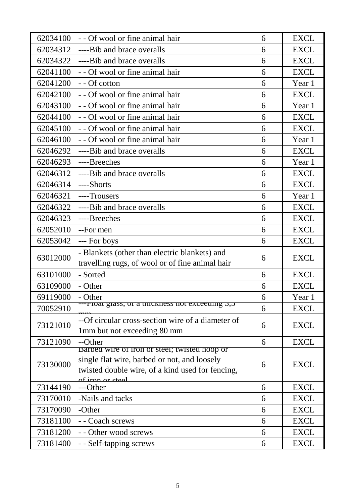| 62034100 | - - Of wool or fine animal hair                                                                  | 6 | <b>EXCL</b> |
|----------|--------------------------------------------------------------------------------------------------|---|-------------|
| 62034312 | ----Bib and brace overalls                                                                       | 6 | <b>EXCL</b> |
| 62034322 | ----Bib and brace overalls                                                                       | 6 | <b>EXCL</b> |
| 62041100 | - - Of wool or fine animal hair                                                                  | 6 | <b>EXCL</b> |
| 62041200 | - - Of cotton                                                                                    | 6 | Year 1      |
| 62042100 | - - Of wool or fine animal hair                                                                  | 6 | <b>EXCL</b> |
| 62043100 | - - Of wool or fine animal hair                                                                  | 6 | Year 1      |
| 62044100 | - - Of wool or fine animal hair                                                                  | 6 | <b>EXCL</b> |
| 62045100 | - - Of wool or fine animal hair                                                                  | 6 | <b>EXCL</b> |
| 62046100 | - - Of wool or fine animal hair                                                                  | 6 | Year 1      |
| 62046292 | ----Bib and brace overalls                                                                       | 6 | <b>EXCL</b> |
| 62046293 | ----Breeches                                                                                     | 6 | Year 1      |
| 62046312 | ----Bib and brace overalls                                                                       | 6 | <b>EXCL</b> |
| 62046314 | ----Shorts                                                                                       | 6 | <b>EXCL</b> |
| 62046321 | ----Trousers                                                                                     | 6 | Year 1      |
| 62046322 | ----Bib and brace overalls                                                                       | 6 | <b>EXCL</b> |
| 62046323 | ----Breeches                                                                                     | 6 | <b>EXCL</b> |
| 62052010 | --For men                                                                                        | 6 | <b>EXCL</b> |
| 62053042 | --- For boys                                                                                     | 6 | <b>EXCL</b> |
|          | - Blankets (other than electric blankets) and                                                    | 6 | <b>EXCL</b> |
| 63012000 | travelling rugs, of wool or of fine animal hair                                                  |   |             |
| 63101000 | - Sorted                                                                                         | 6 | <b>EXCL</b> |
| 63109000 | - Other                                                                                          | 6 | <b>EXCL</b> |
| 69119000 | - Other                                                                                          | 6 | Year 1      |
| 70052910 | --- гюд giass, от а unckness not exceeding 5,5                                                   | 6 | <b>EXCL</b> |
| 73121010 | --Of circular cross-section wire of a diameter of                                                | 6 | <b>EXCL</b> |
|          | 1mm but not exceeding 80 mm                                                                      |   |             |
| 73121090 | --Other                                                                                          | 6 | <b>EXCL</b> |
|          | Barbed wire of fron or steel; twisted noop or                                                    | 6 | <b>EXCL</b> |
| 73130000 | single flat wire, barbed or not, and loosely<br>twisted double wire, of a kind used for fencing, |   |             |
|          | of iron or steel                                                                                 |   |             |
| 73144190 | ---Other                                                                                         | 6 | <b>EXCL</b> |
| 73170010 | -Nails and tacks                                                                                 | 6 | <b>EXCL</b> |
| 73170090 | -Other                                                                                           | 6 | <b>EXCL</b> |
| 73181100 | - - Coach screws                                                                                 | 6 | <b>EXCL</b> |
| 73181200 | - - Other wood screws                                                                            | 6 | <b>EXCL</b> |
| 73181400 | - - Self-tapping screws                                                                          | 6 | <b>EXCL</b> |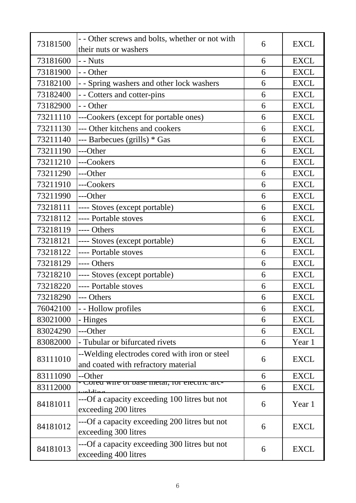| 73181500 | - - Other screws and bolts, whether or not with                                      | 6 | <b>EXCL</b> |
|----------|--------------------------------------------------------------------------------------|---|-------------|
|          | their nuts or washers                                                                |   |             |
| 73181600 | $-$ - Nuts                                                                           | 6 | <b>EXCL</b> |
| 73181900 | - - Other                                                                            | 6 | <b>EXCL</b> |
| 73182100 | - - Spring washers and other lock washers                                            | 6 | <b>EXCL</b> |
| 73182400 | - - Cotters and cotter-pins                                                          | 6 | <b>EXCL</b> |
| 73182900 | - - Other                                                                            | 6 | <b>EXCL</b> |
| 73211110 | ---Cookers (except for portable ones)                                                | 6 | <b>EXCL</b> |
| 73211130 | --- Other kitchens and cookers                                                       | 6 | <b>EXCL</b> |
| 73211140 | --- Barbecues (grills) * Gas                                                         | 6 | <b>EXCL</b> |
| 73211190 | ---Other                                                                             | 6 | <b>EXCL</b> |
| 73211210 | ---Cookers                                                                           | 6 | <b>EXCL</b> |
| 73211290 | ---Other                                                                             | 6 | <b>EXCL</b> |
| 73211910 | ---Cookers                                                                           | 6 | <b>EXCL</b> |
| 73211990 | ---Other                                                                             | 6 | <b>EXCL</b> |
| 73218111 | ---- Stoves (except portable)                                                        | 6 | <b>EXCL</b> |
| 73218112 | ---- Portable stoves                                                                 | 6 | <b>EXCL</b> |
| 73218119 | ---- Others                                                                          | 6 | <b>EXCL</b> |
| 73218121 | ---- Stoves (except portable)                                                        | 6 | <b>EXCL</b> |
| 73218122 | ---- Portable stoves                                                                 | 6 | <b>EXCL</b> |
| 73218129 | ---- Others                                                                          | 6 | <b>EXCL</b> |
| 73218210 | ---- Stoves (except portable)                                                        | 6 | <b>EXCL</b> |
| 73218220 | ---- Portable stoves                                                                 | 6 | <b>EXCL</b> |
| 73218290 | --- Others                                                                           | 6 | <b>EXCL</b> |
| 76042100 | - - Hollow profiles                                                                  | 6 | <b>EXCL</b> |
| 83021000 | - Hinges                                                                             | 6 | <b>EXCL</b> |
| 83024290 | ---Other                                                                             | 6 | <b>EXCL</b> |
| 83082000 | - Tubular or bifurcated rivets                                                       | 6 | Year 1      |
| 83111010 | --Welding electrodes cored with iron or steel<br>and coated with refractory material | 6 | <b>EXCL</b> |
| 83111090 | --Other                                                                              | 6 | <b>EXCL</b> |
| 83112000 | orea wire of dase metal, for electric arc-                                           | 6 | <b>EXCL</b> |
| 84181011 | ---Of a capacity exceeding 100 litres but not<br>exceeding 200 litres                | 6 | Year 1      |
| 84181012 | ---Of a capacity exceeding 200 litres but not<br>exceeding 300 litres                | 6 | <b>EXCL</b> |
| 84181013 | ---Of a capacity exceeding 300 litres but not<br>exceeding 400 litres                | 6 | <b>EXCL</b> |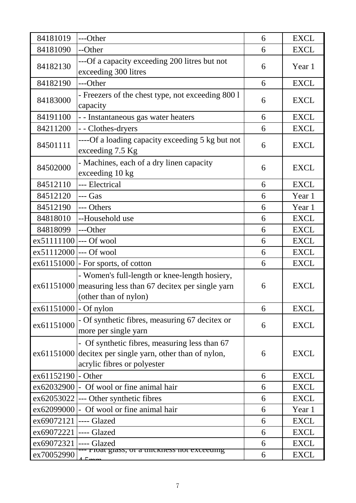| 84181019                | ---Other                                                                                                                                 | 6 | <b>EXCL</b> |
|-------------------------|------------------------------------------------------------------------------------------------------------------------------------------|---|-------------|
| 84181090                | --Other                                                                                                                                  | 6 | <b>EXCL</b> |
| 84182130                | ---Of a capacity exceeding 200 litres but not<br>exceeding 300 litres                                                                    | 6 | Year 1      |
| 84182190                | ---Other                                                                                                                                 | 6 | <b>EXCL</b> |
| 84183000                | - Freezers of the chest type, not exceeding 800 l<br>capacity                                                                            | 6 | <b>EXCL</b> |
| 84191100                | - - Instantaneous gas water heaters                                                                                                      | 6 | <b>EXCL</b> |
| 84211200                | - - Clothes-dryers                                                                                                                       | 6 | <b>EXCL</b> |
| 84501111                | ----Of a loading capacity exceeding 5 kg but not<br>exceeding 7.5 Kg                                                                     | 6 | <b>EXCL</b> |
| 84502000                | - Machines, each of a dry linen capacity<br>exceeding 10 kg                                                                              | 6 | <b>EXCL</b> |
| 84512110                | --- Electrical                                                                                                                           | 6 | <b>EXCL</b> |
| 84512120                | --- Gas                                                                                                                                  | 6 | Year 1      |
| 84512190                | --- Others                                                                                                                               | 6 | Year 1      |
| 84818010                | --Household use                                                                                                                          | 6 | <b>EXCL</b> |
| 84818099                | ---Other                                                                                                                                 | 6 | <b>EXCL</b> |
| ex51111100 --- Of wool  |                                                                                                                                          | 6 | <b>EXCL</b> |
| ex51112000 --- Of wool  |                                                                                                                                          | 6 | <b>EXCL</b> |
|                         | $ex61151000$ - For sports, of cotton                                                                                                     | 6 | <b>EXCL</b> |
|                         | - Women's full-length or knee-length hosiery,<br>ex61151000 measuring less than 67 decitex per single yarn<br>(other than of nylon)      | 6 | <b>EXCL</b> |
| $ex61151000$ - Of nylon |                                                                                                                                          | 6 | <b>EXCL</b> |
| ex61151000              | - Of synthetic fibres, measuring 67 decitex or<br>more per single yarn                                                                   | 6 | <b>EXCL</b> |
|                         | - Of synthetic fibres, measuring less than 67<br>ex61151000 decitex per single yarn, other than of nylon,<br>acrylic fibres or polyester | 6 | <b>EXCL</b> |
| ex61152190 - Other      |                                                                                                                                          | 6 | <b>EXCL</b> |
|                         | ex62032900 - Of wool or fine animal hair                                                                                                 | 6 | <b>EXCL</b> |
|                         | $ex62053022$ --- Other synthetic fibres                                                                                                  | 6 | <b>EXCL</b> |
|                         | ex62099000 - Of wool or fine animal hair                                                                                                 | 6 | Year 1      |
| ex69072121              | ---- Glazed                                                                                                                              | 6 | <b>EXCL</b> |
| ex69072221              | ---- Glazed                                                                                                                              | 6 | <b>EXCL</b> |
| ex69072321 ---- Glazed  |                                                                                                                                          | 6 | <b>EXCL</b> |
| ex70052990              | rioat giass, or a unckness not exceeding                                                                                                 | 6 | <b>EXCL</b> |